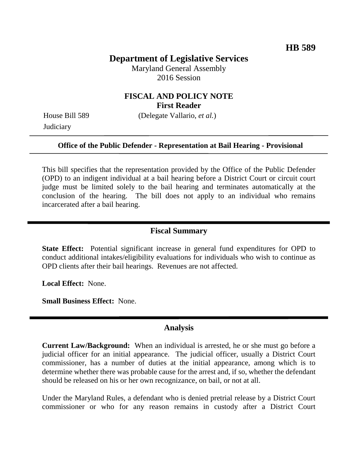## **Department of Legislative Services**

Maryland General Assembly 2016 Session

### **FISCAL AND POLICY NOTE First Reader**

House Bill 589 (Delegate Vallario, *et al.*) **Judiciary** 

# **Office of the Public Defender - Representation at Bail Hearing - Provisional**

This bill specifies that the representation provided by the Office of the Public Defender (OPD) to an indigent individual at a bail hearing before a District Court or circuit court judge must be limited solely to the bail hearing and terminates automatically at the conclusion of the hearing. The bill does not apply to an individual who remains incarcerated after a bail hearing.

#### **Fiscal Summary**

**State Effect:** Potential significant increase in general fund expenditures for OPD to conduct additional intakes/eligibility evaluations for individuals who wish to continue as OPD clients after their bail hearings. Revenues are not affected.

**Local Effect:** None.

**Small Business Effect:** None.

#### **Analysis**

**Current Law/Background:** When an individual is arrested, he or she must go before a judicial officer for an initial appearance. The judicial officer, usually a District Court commissioner, has a number of duties at the initial appearance, among which is to determine whether there was probable cause for the arrest and, if so, whether the defendant should be released on his or her own recognizance, on bail, or not at all.

Under the Maryland Rules, a defendant who is denied pretrial release by a District Court commissioner or who for any reason remains in custody after a District Court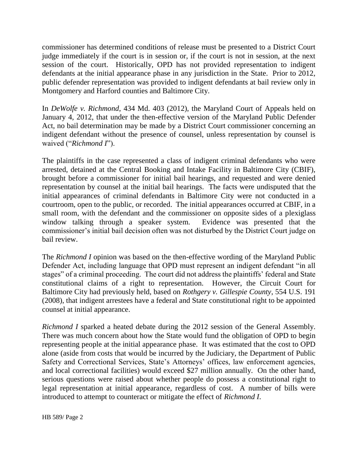commissioner has determined conditions of release must be presented to a District Court judge immediately if the court is in session or, if the court is not in session, at the next session of the court. Historically, OPD has not provided representation to indigent defendants at the initial appearance phase in any jurisdiction in the State. Prior to 2012, public defender representation was provided to indigent defendants at bail review only in Montgomery and Harford counties and Baltimore City.

In *DeWolfe v. Richmond*, 434 Md. 403 (2012), the Maryland Court of Appeals held on January 4, 2012, that under the then-effective version of the Maryland Public Defender Act, no bail determination may be made by a District Court commissioner concerning an indigent defendant without the presence of counsel, unless representation by counsel is waived ("*Richmond I*").

The plaintiffs in the case represented a class of indigent criminal defendants who were arrested, detained at the Central Booking and Intake Facility in Baltimore City (CBIF), brought before a commissioner for initial bail hearings, and requested and were denied representation by counsel at the initial bail hearings. The facts were undisputed that the initial appearances of criminal defendants in Baltimore City were not conducted in a courtroom, open to the public, or recorded. The initial appearances occurred at CBIF, in a small room, with the defendant and the commissioner on opposite sides of a plexiglass window talking through a speaker system. Evidence was presented that the commissioner's initial bail decision often was not disturbed by the District Court judge on bail review.

The *Richmond I* opinion was based on the then-effective wording of the Maryland Public Defender Act, including language that OPD must represent an indigent defendant "in all stages" of a criminal proceeding. The court did not address the plaintiffs' federal and State constitutional claims of a right to representation. However, the Circuit Court for Baltimore City had previously held, based on *Rothgery v. Gillespie County*, 554 U.S. 191 (2008), that indigent arrestees have a federal and State constitutional right to be appointed counsel at initial appearance.

*Richmond I* sparked a heated debate during the 2012 session of the General Assembly. There was much concern about how the State would fund the obligation of OPD to begin representing people at the initial appearance phase. It was estimated that the cost to OPD alone (aside from costs that would be incurred by the Judiciary, the Department of Public Safety and Correctional Services, State's Attorneys' offices, law enforcement agencies, and local correctional facilities) would exceed \$27 million annually. On the other hand, serious questions were raised about whether people do possess a constitutional right to legal representation at initial appearance, regardless of cost. A number of bills were introduced to attempt to counteract or mitigate the effect of *Richmond I*.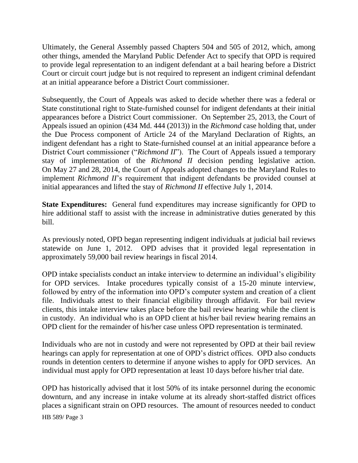Ultimately, the General Assembly passed Chapters 504 and 505 of 2012, which, among other things, amended the Maryland Public Defender Act to specify that OPD is required to provide legal representation to an indigent defendant at a bail hearing before a District Court or circuit court judge but is not required to represent an indigent criminal defendant at an initial appearance before a District Court commissioner.

Subsequently, the Court of Appeals was asked to decide whether there was a federal or State constitutional right to State-furnished counsel for indigent defendants at their initial appearances before a District Court commissioner. On September 25, 2013, the Court of Appeals issued an opinion (434 Md. 444 (2013)) in the *Richmond* case holding that, under the Due Process component of Article 24 of the Maryland Declaration of Rights, an indigent defendant has a right to State-furnished counsel at an initial appearance before a District Court commissioner ("*Richmond II*"). The Court of Appeals issued a temporary stay of implementation of the *Richmond II* decision pending legislative action. On May 27 and 28, 2014, the Court of Appeals adopted changes to the Maryland Rules to implement *Richmond II*'s requirement that indigent defendants be provided counsel at initial appearances and lifted the stay of *Richmond II* effective July 1, 2014.

**State Expenditures:** General fund expenditures may increase significantly for OPD to hire additional staff to assist with the increase in administrative duties generated by this bill.

As previously noted, OPD began representing indigent individuals at judicial bail reviews statewide on June 1, 2012. OPD advises that it provided legal representation in approximately 59,000 bail review hearings in fiscal 2014.

OPD intake specialists conduct an intake interview to determine an individual's eligibility for OPD services. Intake procedures typically consist of a 15-20 minute interview, followed by entry of the information into OPD's computer system and creation of a client file. Individuals attest to their financial eligibility through affidavit. For bail review clients, this intake interview takes place before the bail review hearing while the client is in custody. An individual who is an OPD client at his/her bail review hearing remains an OPD client for the remainder of his/her case unless OPD representation is terminated.

Individuals who are not in custody and were not represented by OPD at their bail review hearings can apply for representation at one of OPD's district offices. OPD also conducts rounds in detention centers to determine if anyone wishes to apply for OPD services. An individual must apply for OPD representation at least 10 days before his/her trial date.

OPD has historically advised that it lost 50% of its intake personnel during the economic downturn, and any increase in intake volume at its already short-staffed district offices places a significant strain on OPD resources. The amount of resources needed to conduct

HB 589/ Page 3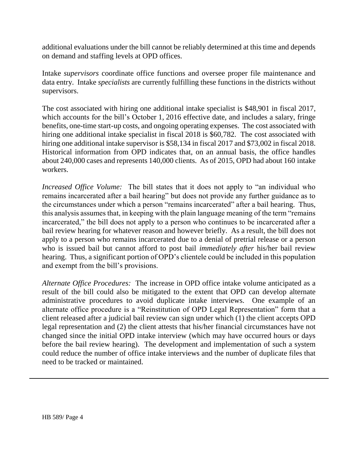additional evaluations under the bill cannot be reliably determined at this time and depends on demand and staffing levels at OPD offices.

Intake *supervisors* coordinate office functions and oversee proper file maintenance and data entry. Intake *specialists* are currently fulfilling these functions in the districts without supervisors.

The cost associated with hiring one additional intake specialist is \$48,901 in fiscal 2017, which accounts for the bill's October 1, 2016 effective date, and includes a salary, fringe benefits, one-time start-up costs, and ongoing operating expenses. The cost associated with hiring one additional intake specialist in fiscal 2018 is \$60,782. The cost associated with hiring one additional intake supervisor is \$58,134 in fiscal 2017 and \$73,002 in fiscal 2018. Historical information from OPD indicates that, on an annual basis, the office handles about 240,000 cases and represents 140,000 clients. As of 2015, OPD had about 160 intake workers.

*Increased Office Volume:* The bill states that it does not apply to "an individual who remains incarcerated after a bail hearing" but does not provide any further guidance as to the circumstances under which a person "remains incarcerated" after a bail hearing. Thus, this analysis assumes that, in keeping with the plain language meaning of the term "remains incarcerated," the bill does not apply to a person who continues to be incarcerated after a bail review hearing for whatever reason and however briefly. As a result, the bill does not apply to a person who remains incarcerated due to a denial of pretrial release or a person who is issued bail but cannot afford to post bail *immediately after* his/her bail review hearing. Thus, a significant portion of OPD's clientele could be included in this population and exempt from the bill's provisions.

*Alternate Office Procedures:* The increase in OPD office intake volume anticipated as a result of the bill could also be mitigated to the extent that OPD can develop alternate administrative procedures to avoid duplicate intake interviews. One example of an alternate office procedure is a "Reinstitution of OPD Legal Representation" form that a client released after a judicial bail review can sign under which (1) the client accepts OPD legal representation and (2) the client attests that his/her financial circumstances have not changed since the initial OPD intake interview (which may have occurred hours or days before the bail review hearing). The development and implementation of such a system could reduce the number of office intake interviews and the number of duplicate files that need to be tracked or maintained.